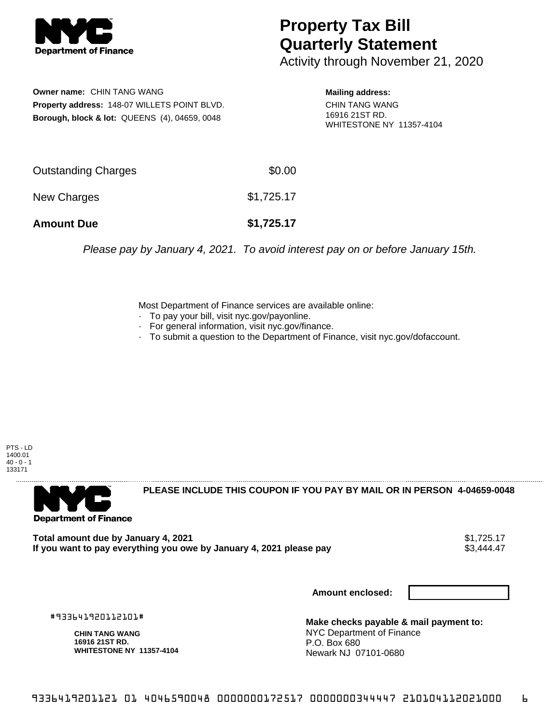

## **Property Tax Bill Quarterly Statement**

Activity through November 21, 2020

**Owner name:** CHIN TANG WANG **Property address:** 148-07 WILLETS POINT BLVD. **Borough, block & lot:** QUEENS (4), 04659, 0048

**Mailing address:**

CHIN TANG WANG 16916 21ST RD. WHITESTONE NY 11357-4104

| <b>Amount Due</b>          | \$1,725.17 |
|----------------------------|------------|
| New Charges                | \$1,725.17 |
| <b>Outstanding Charges</b> | \$0.00     |

Please pay by January 4, 2021. To avoid interest pay on or before January 15th.

Most Department of Finance services are available online:

- · To pay your bill, visit nyc.gov/payonline.
- For general information, visit nyc.gov/finance.
- · To submit a question to the Department of Finance, visit nyc.gov/dofaccount.

PTS - LD 1400.01  $40 - 0 - 1$ 133171



**PLEASE INCLUDE THIS COUPON IF YOU PAY BY MAIL OR IN PERSON 4-04659-0048** 

**Total amount due by January 4, 2021**<br>If you want to pay everything you owe by January 4, 2021 please pay **show that the summer way of the set of** \$3,444.47 If you want to pay everything you owe by January 4, 2021 please pay

**Amount enclosed:**

#933641920112101#

**CHIN TANG WANG 16916 21ST RD. WHITESTONE NY 11357-4104**

**Make checks payable & mail payment to:** NYC Department of Finance P.O. Box 680 Newark NJ 07101-0680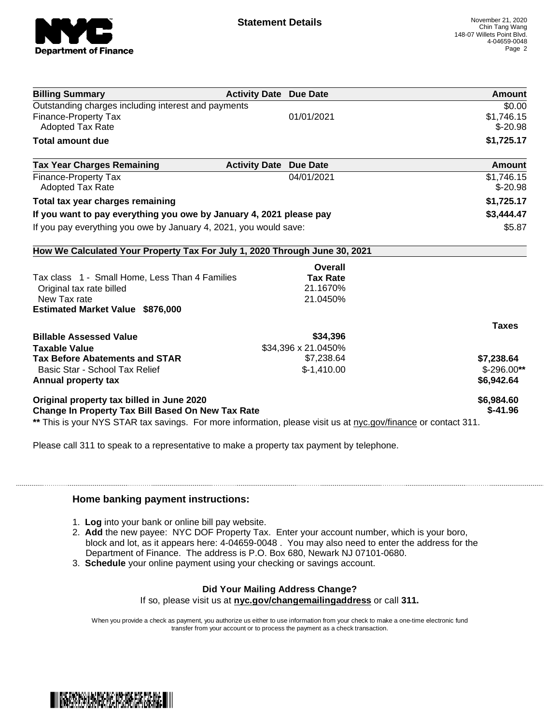

| <b>Billing Summary</b>                                                                                         | <b>Activity Date Due Date</b> |                     | Amount        |
|----------------------------------------------------------------------------------------------------------------|-------------------------------|---------------------|---------------|
| Outstanding charges including interest and payments                                                            |                               |                     | \$0.00        |
| <b>Finance-Property Tax</b>                                                                                    |                               | 01/01/2021          | \$1,746.15    |
| <b>Adopted Tax Rate</b>                                                                                        |                               |                     | $$-20.98$     |
| <b>Total amount due</b>                                                                                        |                               |                     | \$1,725.17    |
| <b>Tax Year Charges Remaining</b>                                                                              | <b>Activity Date</b>          | <b>Due Date</b>     | <b>Amount</b> |
| <b>Finance-Property Tax</b>                                                                                    |                               | 04/01/2021          | \$1,746.15    |
| <b>Adopted Tax Rate</b>                                                                                        |                               |                     | $$-20.98$     |
| Total tax year charges remaining                                                                               |                               |                     | \$1,725.17    |
| If you want to pay everything you owe by January 4, 2021 please pay                                            |                               |                     | \$3,444.47    |
| If you pay everything you owe by January 4, 2021, you would save:                                              |                               |                     | \$5.87        |
| How We Calculated Your Property Tax For July 1, 2020 Through June 30, 2021                                     |                               |                     |               |
|                                                                                                                |                               | Overall             |               |
| Tax class 1 - Small Home, Less Than 4 Families                                                                 |                               | <b>Tax Rate</b>     |               |
| Original tax rate billed                                                                                       |                               | 21.1670%            |               |
| New Tax rate                                                                                                   |                               | 21.0450%            |               |
| <b>Estimated Market Value \$876,000</b>                                                                        |                               |                     |               |
|                                                                                                                |                               |                     | <b>Taxes</b>  |
| <b>Billable Assessed Value</b>                                                                                 |                               | \$34,396            |               |
| <b>Taxable Value</b>                                                                                           |                               | \$34,396 x 21.0450% |               |
| <b>Tax Before Abatements and STAR</b>                                                                          |                               | \$7,238.64          | \$7,238.64    |
| Basic Star - School Tax Relief                                                                                 |                               | $$-1,410.00$        | $$-296.00**$  |
| Annual property tax                                                                                            |                               |                     | \$6,942.64    |
| Original property tax billed in June 2020                                                                      |                               |                     | \$6,984.60    |
| <b>Change In Property Tax Bill Based On New Tax Rate</b>                                                       |                               |                     | $$-41.96$     |
| ** This is your NYS STAR tax savings. For more information, please visit us at nyc.gov/finance or contact 311. |                               |                     |               |

Please call 311 to speak to a representative to make a property tax payment by telephone.

## **Home banking payment instructions:**

- 1. **Log** into your bank or online bill pay website.
- 2. **Add** the new payee: NYC DOF Property Tax. Enter your account number, which is your boro, block and lot, as it appears here: 4-04659-0048 . You may also need to enter the address for the Department of Finance. The address is P.O. Box 680, Newark NJ 07101-0680.
- 3. **Schedule** your online payment using your checking or savings account.

## **Did Your Mailing Address Change?**

If so, please visit us at **nyc.gov/changemailingaddress** or call **311.**

When you provide a check as payment, you authorize us either to use information from your check to make a one-time electronic fund transfer from your account or to process the payment as a check transaction.